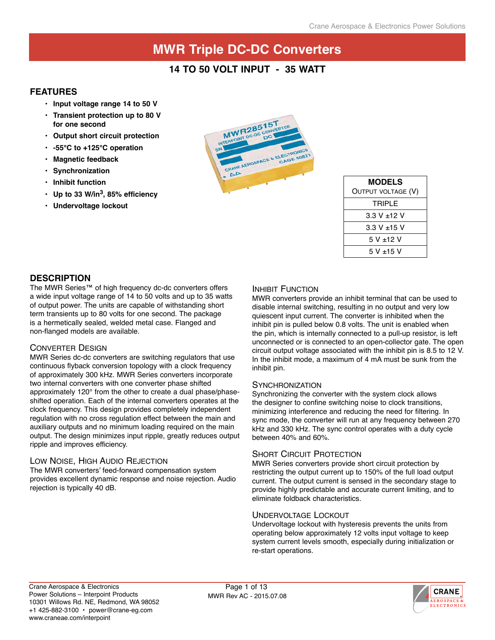### **14 to 50 volt i nput - 35 watt**

#### **Features**

- **• Input voltage range 14 to 50 V**
- **• Transient protection up to 80 V for one second**
- **• Output short circuit protection**
- **• -55°C to +125°C operation**
- **• Magnetic feedback**
- **• Synchronization**
- **• Inhibit function**
- **• Up to 33 W/in3, 85% efficiency**
- **• Undervoltage lockout**



| <b>MODELS</b>      |  |  |  |  |  |
|--------------------|--|--|--|--|--|
| OUTPUT VOLTAGE (V) |  |  |  |  |  |
| TRIPI F            |  |  |  |  |  |
| 3.3 V ±12 V        |  |  |  |  |  |
| $3.3 V + 15 V$     |  |  |  |  |  |
| 5 V +12 V          |  |  |  |  |  |
| $5 V + 15 V$       |  |  |  |  |  |

#### **description**

The MWR Series™ of high frequency dc-dc converters offers a wide input voltage range of 14 to 50 volts and up to 35 watts of output power. The units are capable of withstanding short term transients up to 80 volts for one second. The package is a hermetically sealed, welded metal case. Flanged and non-flanged models are available.

#### Converter Design

MWR Series dc-dc converters are switching regulators that use continuous flyback conversion topology with a clock frequency of approximately 300 kHz. MWR Series converters incorporate two internal converters with one converter phase shifted approximately 120° from the other to create a dual phase/phaseshifted operation. Each of the internal converters operates at the clock frequency. This design provides completely independent regulation with no cross regulation effect between the main and auxiliary outputs and no minimum loading required on the main output. The design minimizes input ripple, greatly reduces output ripple and improves efficiency.

#### Low Noise, High Audio Rejection

The MWR converters' feed-forward compensation system provides excellent dynamic response and noise rejection. Audio rejection is typically 40 dB.

#### INHIBIT FUNCTION

MWR converters provide an inhibit terminal that can be used to disable internal switching, resulting in no output and very low quiescent input current. The converter is inhibited when the inhibit pin is pulled below 0.8 volts. The unit is enabled when the pin, which is internally connected to a pull-up resistor, is left unconnected or is connected to an open-collector gate. The open circuit output voltage associated with the inhibit pin is 8.5 to 12 V. In the inhibit mode, a maximum of 4 mA must be sunk from the inhibit pin.

#### **SYNCHRONIZATION**

Synchronizing the converter with the system clock allows the designer to confine switching noise to clock transitions, minimizing interference and reducing the need for filtering. In sync mode, the converter will run at any frequency between 270 kHz and 330 kHz. The sync control operates with a duty cycle between 40% and 60%.

#### SHORT CIRCUIT PROTECTION

MWR Series converters provide short circuit protection by restricting the output current up to 150% of the full load output current. The output current is sensed in the secondary stage to provide highly predictable and accurate current limiting, and to eliminate foldback characteristics.

#### Undervoltage Lockout

Undervoltage lockout with hysteresis prevents the units from operating below approximately 12 volts input voltage to keep system current levels smooth, especially during initialization or re-start operations.

MWR Rev AC - 2015.07.08 Page 1 of 13

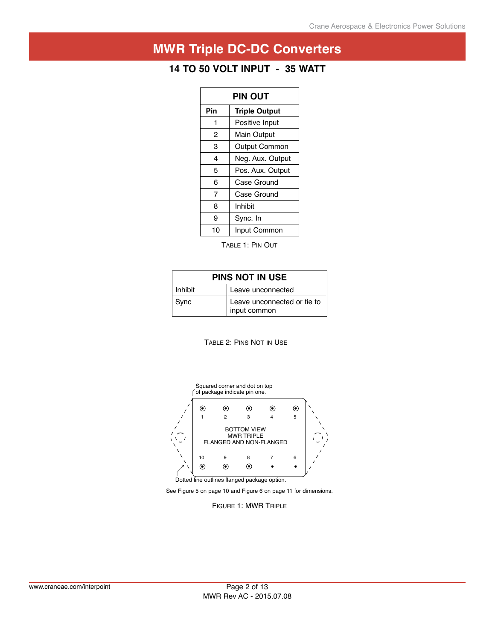## **14 to 50 volt i nput - 35 watt**

| PIN OUT |                      |  |  |  |  |
|---------|----------------------|--|--|--|--|
| Pin     | <b>Triple Output</b> |  |  |  |  |
| 1       | Positive Input       |  |  |  |  |
| 2       | Main Output          |  |  |  |  |
| 3       | <b>Output Common</b> |  |  |  |  |
| 4       | Neg. Aux. Output     |  |  |  |  |
| 5       | Pos. Aux. Output     |  |  |  |  |
| 6       | Case Ground          |  |  |  |  |
| 7       | Case Ground          |  |  |  |  |
| 8       | Inhibit              |  |  |  |  |
| 9       | Sync. In             |  |  |  |  |
| 10      | Input Common         |  |  |  |  |

Table 1: Pin Out

| PINS NOT IN USE |                                             |  |  |  |  |  |
|-----------------|---------------------------------------------|--|--|--|--|--|
| Inhibit         | Leave unconnected                           |  |  |  |  |  |
| Sync            | Leave unconnected or tie to<br>input common |  |  |  |  |  |





See Figure 5 on page 10 and Figure 6 on page 11 for dimensions.

FIGURE 1: MWR TRIPLE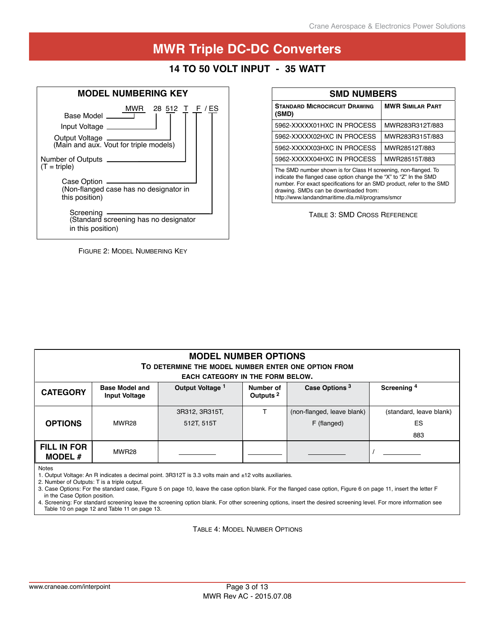### **14 to 50 volt i nput - 35 watt**



Figure 2: Model Numbering Key

| <b>SMD NUMBERS</b>                                                                                                                                                                                                                                                                                        |                         |  |  |  |  |  |
|-----------------------------------------------------------------------------------------------------------------------------------------------------------------------------------------------------------------------------------------------------------------------------------------------------------|-------------------------|--|--|--|--|--|
| <b>STANDARD MICROCIRCUIT DRAWING</b><br>(SMD)                                                                                                                                                                                                                                                             | <b>MWR SIMILAR PART</b> |  |  |  |  |  |
| 5962-XXXXX01HXC IN PROCESS                                                                                                                                                                                                                                                                                | MWR283R312T/883         |  |  |  |  |  |
| 5962-XXXXX02HXC IN PROCESS                                                                                                                                                                                                                                                                                | MWR283R315T/883         |  |  |  |  |  |
| 5962-XXXXX03HXC IN PROCESS                                                                                                                                                                                                                                                                                | MWR28512T/883           |  |  |  |  |  |
| 5962-XXXXX04HXC IN PROCESS                                                                                                                                                                                                                                                                                | MWR28515T/883           |  |  |  |  |  |
| The SMD number shown is for Class H screening, non-flanged. To<br>indicate the flanged case option change the "X" to "Z" In the SMD<br>number. For exact specifications for an SMD product, refer to the SMD<br>drawing. SMDs can be downloaded from:<br>http://www.landandmaritime.dla.mil/programs/smcr |                         |  |  |  |  |  |

Table 3: SMD Cross Reference

| <b>MODEL NUMBER OPTIONS</b><br>TO DETERMINE THE MODEL NUMBER ENTER ONE OPTION FROM<br><b>EACH CATEGORY IN THE FORM BELOW.</b> |                                               |                  |                                   |                            |                         |  |  |  |
|-------------------------------------------------------------------------------------------------------------------------------|-----------------------------------------------|------------------|-----------------------------------|----------------------------|-------------------------|--|--|--|
| <b>CATEGORY</b>                                                                                                               | <b>Base Model and</b><br><b>Input Voltage</b> | Output Voltage 1 | Number of<br>Outputs <sup>2</sup> | Screening <sup>4</sup>     |                         |  |  |  |
|                                                                                                                               |                                               | 3R312, 3R315T,   |                                   | (non-flanged, leave blank) | (standard, leave blank) |  |  |  |
| <b>OPTIONS</b>                                                                                                                | MWR28                                         | 512T, 515T       |                                   | F (flanged)                | <b>ES</b>               |  |  |  |
|                                                                                                                               |                                               |                  |                                   |                            | 883                     |  |  |  |
| FILL IN FOR<br><b>MODEL#</b>                                                                                                  | MWR28                                         |                  |                                   |                            |                         |  |  |  |

#### Notes

1. Output Voltage: An R indicates a decimal point. 3R312T is 3.3 volts main and ±12 volts auxiliaries.

2. Number of Outputs: T is a triple output.

3. Case Options: For the standard case, Figure 5 on page 10, leave the case option blank. For the flanged case option, Figure 6 on page 11, insert the letter F in the Case Option position.

4. Screening: For standard screening leave the screening option blank. For other screening options, insert the desired screening level. For more information see Table 10 on page 12 and Table 11 on page 13.

Table 4: Model Number Options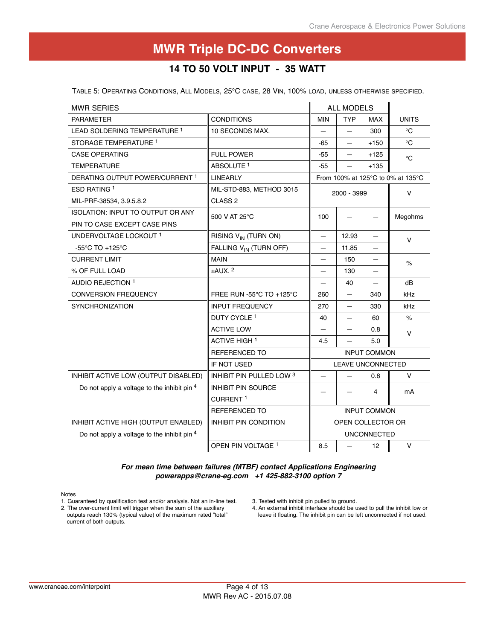### **14 to 50 volt i nput - 35 watt**

Table 5: Operating Conditions, All Models, 25°C case, 28 Vin, 100% load, unless otherwise specified.

| <b>MWR SERIES</b>                           |                                    |                          | <b>ALL MODELS</b>        |                     |                                   |
|---------------------------------------------|------------------------------------|--------------------------|--------------------------|---------------------|-----------------------------------|
| <b>PARAMETER</b>                            | <b>CONDITIONS</b>                  | <b>MIN</b>               | <b>TYP</b>               | <b>MAX</b>          | <b>UNITS</b>                      |
| LEAD SOLDERING TEMPERATURE <sup>1</sup>     | 10 SECONDS MAX.                    | $\overline{\phantom{0}}$ |                          | 300                 | °C                                |
| STORAGE TEMPERATURE 1                       |                                    | -65                      |                          | $+150$              | °C                                |
| <b>CASE OPERATING</b>                       | <b>FULL POWER</b>                  | $-55$                    | —                        | $+125$              | $^{\circ}C$                       |
| <b>TEMPERATURE</b>                          | ABSOLUTE <sup>1</sup>              | $-55$                    |                          | $+135$              |                                   |
| DERATING OUTPUT POWER/CURRENT 1             | <b>LINEARLY</b>                    |                          |                          |                     | From 100% at 125°C to 0% at 135°C |
| ESD RATING 1                                | MIL-STD-883, METHOD 3015           |                          | 2000 - 3999              |                     | v                                 |
| MIL-PRF-38534, 3.9.5.8.2                    | CLASS <sub>2</sub>                 |                          |                          |                     |                                   |
| <b>ISOLATION: INPUT TO OUTPUT OR ANY</b>    | 500 V AT 25°C                      | 100                      |                          |                     | Megohms                           |
| PIN TO CASE EXCEPT CASE PINS                |                                    |                          |                          |                     |                                   |
| UNDERVOLTAGE LOCKOUT 1                      | RISING V <sub>IN</sub> (TURN ON)   |                          | 12.93                    |                     | $\vee$                            |
| $-55^{\circ}$ C TO $+125^{\circ}$ C         | FALLING V <sub>IN</sub> (TURN OFF) |                          | 11.85                    |                     |                                   |
| <b>CURRENT LIMIT</b>                        | <b>MAIN</b>                        |                          | 150                      |                     | $\%$                              |
| % OF FULL LOAD                              | $±AUX.$ <sup>2</sup>               | $\overline{\phantom{0}}$ | 130                      |                     |                                   |
| AUDIO REJECTION 1                           |                                    |                          | 40                       |                     | dB                                |
| <b>CONVERSION FREQUENCY</b>                 | FREE RUN -55°C TO +125°C           | 260                      | —                        | 340                 | kHz                               |
| <b>SYNCHRONIZATION</b>                      | <b>INPUT FREQUENCY</b>             | 270                      |                          | 330                 | kHz                               |
|                                             | DUTY CYCLE <sup>1</sup>            | 40                       | —                        | 60                  | %                                 |
|                                             | <b>ACTIVE LOW</b>                  |                          |                          | 0.8                 | $\vee$                            |
|                                             | <b>ACTIVE HIGH 1</b>               | 4.5                      |                          | 5.0                 |                                   |
|                                             | <b>REFERENCED TO</b>               |                          |                          | <b>INPUT COMMON</b> |                                   |
|                                             | IF NOT USED                        |                          | <b>LEAVE UNCONNECTED</b> |                     |                                   |
| INHIBIT ACTIVE LOW (OUTPUT DISABLED)        | INHIBIT PIN PULLED LOW 3           |                          |                          | 0.8                 | v                                 |
| Do not apply a voltage to the inhibit pin 4 | <b>INHIBIT PIN SOURCE</b>          |                          |                          | 4                   | mA                                |
|                                             | CURRENT <sup>1</sup>               |                          |                          |                     |                                   |
|                                             | <b>REFERENCED TO</b>               |                          |                          | <b>INPUT COMMON</b> |                                   |
| INHIBIT ACTIVE HIGH (OUTPUT ENABLED)        | INHIBIT PIN CONDITION              | OPEN COLLECTOR OR        |                          |                     |                                   |
| Do not apply a voltage to the inhibit pin 4 |                                    | UNCONNECTED              |                          |                     |                                   |
|                                             | OPEN PIN VOLTAGE <sup>1</sup>      | 8.5                      | —                        | 12                  | V                                 |

*For mean time between failures (MTBF) contact Applications Engineering powerapps@crane-eg.com +1 425-882-3100 option 7*

Notes

1. Guaranteed by qualification test and/or analysis. Not an in-line test. 2. The over-current limit will trigger when the sum of the auxiliary

outputs reach 130% (typical value) of the maximum rated "total" current of both outputs.

4. An external inhibit interface should be used to pull the inhibit low or leave it floating. The inhibit pin can be left unconnected if not used.

<sup>3.</sup> Tested with inhibit pin pulled to ground.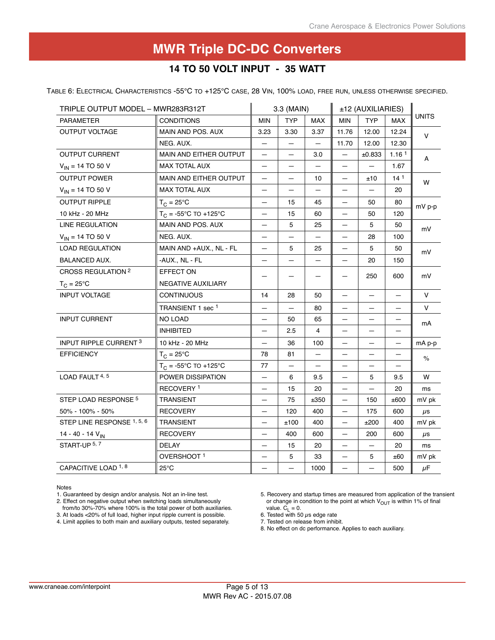### **14 to 50 volt i nput - 35 watt**

Table 6: Electrical Characteristics -55°C to +125°C case, 28 Vin, 100% load, free run, unless otherwise specified.

| TRIPLE OUTPUT MODEL - MWR283R312T |                                | 3.3 (MAIN)                     |            |                | ±12 (AUXILIARIES)        |            |                   |              |
|-----------------------------------|--------------------------------|--------------------------------|------------|----------------|--------------------------|------------|-------------------|--------------|
| <b>PARAMETER</b>                  | <b>CONDITIONS</b>              | <b>MIN</b>                     | <b>TYP</b> | <b>MAX</b>     | <b>MIN</b>               | <b>TYP</b> | <b>MAX</b>        | <b>UNITS</b> |
| <b>OUTPUT VOLTAGE</b>             | MAIN AND POS. AUX              | 3.23                           | 3.30       | 3.37           | 11.76                    | 12.00      | 12.24             | V            |
|                                   | NEG. AUX.                      | -                              | —          |                | 11.70                    | 12.00      | 12.30             |              |
| <b>OUTPUT CURRENT</b>             | MAIN AND EITHER OUTPUT         | $\qquad \qquad -$              | -          | 3.0            | $\overline{\phantom{0}}$ | ±0.833     | 1.16 <sup>1</sup> | A            |
| $V_{IN}$ = 14 TO 50 V             | <b>MAX TOTAL AUX</b>           | —                              |            |                | $\overline{\phantom{0}}$ |            | 1.67              |              |
| <b>OUTPUT POWER</b>               | MAIN AND EITHER OUTPUT         | —                              | —          | 10             | —                        | ±10        | 14 <sup>1</sup>   | W            |
| $V_{IN}$ = 14 TO 50 V             | <b>MAX TOTAL AUX</b>           | —                              | —          |                | —                        |            | 20                |              |
| <b>OUTPUT RIPPLE</b>              | $T_{C} = 25^{\circ}C$          | —                              | 15         | 45             |                          | 50         | 80                | $mV$ p-p     |
| 10 kHz - 20 MHz                   | $T_C = -55^{\circ}C$ TO +125°C | $\qquad \qquad \longleftarrow$ | 15         | 60             | $\qquad \qquad -$        | 50         | 120               |              |
| LINE REGULATION                   | MAIN AND POS. AUX              | $\overline{\phantom{0}}$       | 5          | 25             | $\overline{\phantom{0}}$ | 5          | 50                | mV           |
| $V_{IN}$ = 14 TO 50 V             | NEG. AUX.                      |                                |            |                |                          | 28         | 100               |              |
| <b>LOAD REGULATION</b>            | MAIN AND +AUX., NL - FL        | $\overline{\phantom{0}}$       | 5          | 25             | $\qquad \qquad -$        | 5          | 50                | mV           |
| <b>BALANCED AUX.</b>              | -AUX., NL - FL                 | —                              |            |                |                          | 20         | 150               |              |
| CROSS REGULATION <sup>2</sup>     | EFFECT ON                      |                                |            |                |                          | 250        | 600               | mV           |
| $T_C = 25^{\circ}C$               | NEGATIVE AUXILIARY             |                                |            |                |                          |            |                   |              |
| <b>INPUT VOLTAGE</b>              | <b>CONTINUOUS</b>              | 14                             | 28         | 50             |                          |            |                   | $\vee$       |
|                                   | TRANSIENT 1 sec <sup>1</sup>   | —                              | —          | 80             | $\qquad \qquad -$        | —          | $\qquad \qquad -$ | V            |
| <b>INPUT CURRENT</b>              | NO LOAD                        |                                | 50         | 65             |                          |            |                   | mA           |
|                                   | <b>INHIBITED</b>               | —                              | 2.5        | $\overline{4}$ |                          |            |                   |              |
| INPUT RIPPLE CURRENT <sup>3</sup> | 10 kHz - 20 MHz                | $\overline{\phantom{0}}$       | 36         | 100            | $\qquad \qquad -$        | —          | —                 | mA p-p       |
| <b>EFFICIENCY</b>                 | $T_C = 25^{\circ}C$            | 78                             | 81         |                |                          |            |                   | $\%$         |
|                                   | $T_C = -55^{\circ}C$ TO +125°C | 77                             |            |                |                          |            |                   |              |
| LOAD FAULT 4, 5                   | POWER DISSIPATION              | $\overline{\phantom{0}}$       | 6          | 9.5            | $\qquad \qquad -$        | 5          | 9.5               | W            |
|                                   | RECOVERY <sup>1</sup>          | —                              | 15         | 20             | —                        |            | 20                | ms           |
| STEP LOAD RESPONSE <sup>5</sup>   | <b>TRANSIENT</b>               | —                              | 75         | ±350           | —                        | 150        | ±600              | mV pk        |
| 50% - 100% - 50%                  | <b>RECOVERY</b>                | —                              | 120        | 400            | —                        | 175        | 600               | $\mu$ s      |
| STEP LINE RESPONSE 1, 5, 6        | <b>TRANSIENT</b>               | —                              | ±100       | 400            | $\equiv$                 | ±200       | 400               | mV pk        |
| 14 - 40 - 14 $V_{IN}$             | <b>RECOVERY</b>                |                                | 400        | 600            |                          | 200        | 600               | $\mu$ s      |
| START-UP 5, 7                     | <b>DELAY</b>                   | -                              | 15         | 20             | -                        | -          | 20                | ms           |
|                                   | OVERSHOOT <sup>1</sup>         | $\qquad \qquad -$              | 5          | 33             | $\qquad \qquad -$        | 5          | ±60               | mV pk        |
| CAPACITIVE LOAD <sup>1,8</sup>    | $25^{\circ}$ C                 |                                |            | 1000           |                          |            | 500               | $\mu$ F      |

Notes

1. Guaranteed by design and/or analysis. Not an in-line test.

2. Effect on negative output when switching loads simultaneously

4. Limit applies to both main and auxiliary outputs, tested separately.

5. Recovery and startup times are measured from application of the transient or change in condition to the point at which  $V_{OUT}$  is within 1% of final value.  $\overline{C_1} = 0$ .

6. Tested with 50  $\mu$ s edge rate

7. Tested on release from inhibit.

from/to 30%-70% where 100% is the total power of both auxiliaries. 3. At loads <20% of full load, higher input ripple current is possible.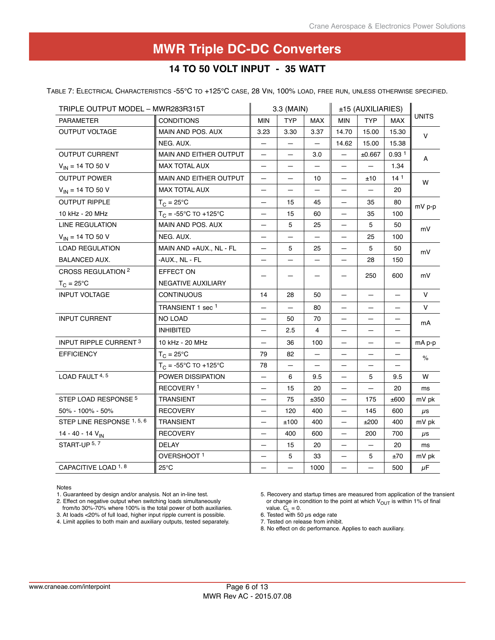### **14 to 50 volt i nput - 35 watt**

Table 7: Electrical Characteristics -55°C to +125°C case, 28 Vin, 100% load, free run, unless otherwise specified.

| TRIPLE OUTPUT MODEL - MWR283R315T |                                | 3.3 (MAIN)               |             | ±15 (AUXILIARIES) |                          |            |                   |              |
|-----------------------------------|--------------------------------|--------------------------|-------------|-------------------|--------------------------|------------|-------------------|--------------|
| PARAMETER                         | <b>CONDITIONS</b>              | <b>MIN</b>               | <b>TYP</b>  | <b>MAX</b>        | <b>MIN</b>               | <b>TYP</b> | <b>MAX</b>        | <b>UNITS</b> |
| <b>OUTPUT VOLTAGE</b>             | MAIN AND POS. AUX              | 3.23                     | 3.30        | 3.37              | 14.70                    | 15.00      | 15.30             | V            |
|                                   | NEG. AUX.                      | -                        | -           | $\qquad \qquad -$ | 14.62                    | 15.00      | 15.38             |              |
| <b>OUTPUT CURRENT</b>             | MAIN AND EITHER OUTPUT         | $\qquad \qquad -$        | —           | 3.0               | $\overline{\phantom{0}}$ | ±0.667     | 0.93 <sup>1</sup> | A            |
| $V_{IN}$ = 14 TO 50 V             | <b>MAX TOTAL AUX</b>           | $\overline{\phantom{0}}$ |             |                   |                          |            | 1.34              |              |
| <b>OUTPUT POWER</b>               | MAIN AND EITHER OUTPUT         | —                        | —           | 10                | $\qquad \qquad -$        | ±10        | 14 <sup>1</sup>   | W            |
| $V_{IN}$ = 14 TO 50 V             | <b>MAX TOTAL AUX</b>           | —                        |             |                   | $\equiv$                 |            | 20                |              |
| <b>OUTPUT RIPPLE</b>              | $T_C = 25^{\circ}C$            | $\overline{\phantom{0}}$ | 15          | 45                | $\overline{\phantom{0}}$ | 35         | 80                | $mV$ p-p     |
| 10 kHz - 20 MHz                   | $T_C = -55^{\circ}C$ TO +125°C | —                        | 15          | 60                | $\qquad \qquad -$        | 35         | 100               |              |
| LINE REGULATION                   | MAIN AND POS. AUX              | —                        | 5           | 25                | $\overline{\phantom{0}}$ | 5          | 50                | mV           |
| $V_{IN}$ = 14 TO 50 V             | NEG. AUX.                      |                          |             |                   |                          | 25         | 100               |              |
| <b>LOAD REGULATION</b>            | MAIN AND +AUX., NL - FL        | $\qquad \qquad$          | 5           | 25                | $\qquad \qquad \qquad$   | 5          | 50                | mV           |
| <b>BALANCED AUX.</b>              | -AUX., NL - FL                 | —                        |             |                   |                          | 28         | 150               |              |
| CROSS REGULATION <sup>2</sup>     | EFFECT ON                      |                          |             |                   |                          | 250        | 600               | mV           |
| $T_C = 25^{\circ}C$               | NEGATIVE AUXILIARY             |                          |             |                   |                          |            |                   |              |
| <b>INPUT VOLTAGE</b>              | <b>CONTINUOUS</b>              | 14                       | 28          | 50                |                          |            |                   | $\vee$       |
|                                   | TRANSIENT 1 sec <sup>1</sup>   | —                        | -           | 80                | $\qquad \qquad -$        | —          | —                 | V            |
| <b>INPUT CURRENT</b>              | NO LOAD                        |                          | 50          | 70                |                          |            |                   | mA           |
|                                   | <b>INHIBITED</b>               | —                        | 2.5         | $\overline{4}$    |                          |            |                   |              |
| INPUT RIPPLE CURRENT <sup>3</sup> | 10 kHz - 20 MHz                | $\overline{\phantom{0}}$ | 36          | 100               | $\overline{\phantom{0}}$ | —          | —                 | mA p-p       |
| <b>EFFICIENCY</b>                 | $T_{C} = 25^{\circ}C$          | 79                       | 82          |                   |                          |            |                   | $\%$         |
|                                   | $T_C = -55^{\circ}C$ TO +125°C | 78                       |             |                   |                          |            |                   |              |
| LOAD FAULT 4, 5                   | POWER DISSIPATION              | $\overline{\phantom{0}}$ | 6           | 9.5               | $\qquad \qquad -$        | 5          | 9.5               | W            |
|                                   | RECOVERY <sup>1</sup>          | —                        | 15          | 20                |                          |            | 20                | ms           |
| STEP LOAD RESPONSE 5              | TRANSIENT                      | -                        | 75          | ±350              |                          | 175        | ±600              | mV pk        |
| 50% - 100% - 50%                  | <b>RECOVERY</b>                | —                        | 120         | 400               | $\qquad \qquad -$        | 145        | 600               | $\mu$ s      |
| STEP LINE RESPONSE 1, 5, 6        | <b>TRANSIENT</b>               | —                        | ±100        | 400               | $\overline{\phantom{0}}$ | ±200       | 400               | mV pk        |
| 14 - 40 - 14 $V_{IN}$             | <b>RECOVERY</b>                |                          | 400         | 600               |                          | 200        | 700               | $\mu$ s      |
| START-UP 5, 7                     | <b>DELAY</b>                   | -                        | 15          | 20                | -                        | -          | 20                | ms           |
|                                   | OVERSHOOT <sup>1</sup>         | -                        | $\mathbf 5$ | 33                | $\qquad \qquad -$        | 5          | ±70               | mV pk        |
| CAPACITIVE LOAD <sup>1, 8</sup>   | $25^{\circ}$ C                 |                          |             | 1000              |                          |            | 500               | $\mu$ F      |

Notes

1. Guaranteed by design and/or analysis. Not an in-line test.

2. Effect on negative output when switching loads simultaneously

3. At loads <20% of full load, higher input ripple current is possible.

4. Limit applies to both main and auxiliary outputs, tested separately.

5. Recovery and startup times are measured from application of the transient or change in condition to the point at which  $V_{OUT}$  is within 1% of final value.  $\overline{C_1} = 0$ .

6. Tested with 50  $\mu$ s edge rate

7. Tested on release from inhibit.

from/to 30%-70% where 100% is the total power of both auxiliaries.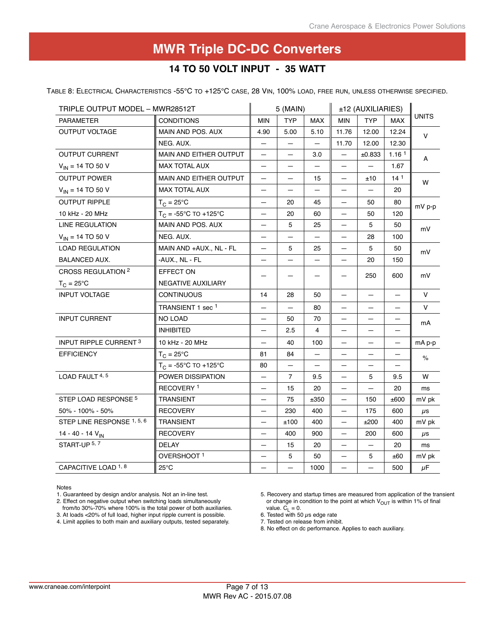### **14 to 50 volt i nput - 35 watt**

Table 8: Electrical Characteristics -55°C to +125°C case, 28 Vin, 100% load, free run, unless otherwise specified.

| TRIPLE OUTPUT MODEL - MWR28512T   |                                | 5 (MAIN)                 |                |                   | ±12 (AUXILIARIES)        |                          |                   |              |
|-----------------------------------|--------------------------------|--------------------------|----------------|-------------------|--------------------------|--------------------------|-------------------|--------------|
| <b>PARAMETER</b>                  | <b>CONDITIONS</b>              | <b>MIN</b>               | <b>TYP</b>     | MAX               | <b>MIN</b>               | <b>TYP</b>               | <b>MAX</b>        | <b>UNITS</b> |
| <b>OUTPUT VOLTAGE</b>             | MAIN AND POS. AUX              | 4.90                     | 5.00           | 5.10              | 11.76                    | 12.00                    | 12.24             | $\vee$       |
|                                   | NEG. AUX.                      | -                        | -              | $\qquad \qquad -$ | 11.70                    | 12.00                    | 12.30             |              |
| <b>OUTPUT CURRENT</b>             | MAIN AND EITHER OUTPUT         | $\qquad \qquad -$        | —              | 3.0               | $\equiv$                 | ±0.833                   | 1.16 <sup>1</sup> | A            |
| $V_{IN}$ = 14 TO 50 V             | <b>MAX TOTAL AUX</b>           |                          |                |                   |                          |                          | 1.67              |              |
| <b>OUTPUT POWER</b>               | <b>MAIN AND EITHER OUTPUT</b>  | -                        | —              | 15                | $\overline{\phantom{0}}$ | ±10                      | $14^1$            | W            |
| $V_{IN}$ = 14 TO 50 V             | <b>MAX TOTAL AUX</b>           | —                        |                |                   | $\qquad \qquad -$        | $\overline{\phantom{0}}$ | 20                |              |
| <b>OUTPUT RIPPLE</b>              | $T_C = 25^{\circ}C$            | -                        | 20             | 45                | $\qquad \qquad -$        | 50                       | 80                | $mV$ p-p     |
| 10 kHz - 20 MHz                   | $T_C = -55^{\circ}C$ TO +125°C | -                        | 20             | 60                | $\overline{\phantom{0}}$ | 50                       | 120               |              |
| LINE REGULATION                   | MAIN AND POS. AUX              | —                        | 5              | 25                | $\overline{\phantom{0}}$ | 5                        | 50                | mV           |
| $V_{IN}$ = 14 TO 50 V             | NEG. AUX.                      |                          |                |                   | $\overline{\phantom{0}}$ | 28                       | 100               |              |
| <b>LOAD REGULATION</b>            | MAIN AND +AUX., NL - FL        | -                        | 5              | 25                | $\qquad \qquad -$        | 5                        | 50                | mV           |
| <b>BALANCED AUX.</b>              | -AUX., NL - FL                 | —                        |                |                   |                          | 20                       | 150               |              |
| <b>CROSS REGULATION 2</b>         | EFFECT ON                      |                          |                |                   |                          | 250                      | 600               | mV           |
| $T_C = 25^{\circ}C$               | NEGATIVE AUXILIARY             |                          |                |                   |                          |                          |                   |              |
| <b>INPUT VOLTAGE</b>              | <b>CONTINUOUS</b>              | 14                       | 28             | 50                |                          |                          |                   | $\vee$       |
|                                   | TRANSIENT 1 sec <sup>1</sup>   | $\overline{\phantom{0}}$ | $\equiv$       | 80                | —                        |                          |                   | V            |
| <b>INPUT CURRENT</b>              | <b>NO LOAD</b>                 |                          | 50             | 70                |                          |                          |                   | mA           |
|                                   | <b>INHIBITED</b>               | —                        | 2.5            | $\overline{4}$    | —                        | —                        | —                 |              |
| INPUT RIPPLE CURRENT <sup>3</sup> | 10 kHz - 20 MHz                | —                        | 40             | 100               | $\overline{\phantom{0}}$ |                          | -                 | mA p-p       |
| <b>EFFICIENCY</b>                 | $T_C = 25^{\circ}C$            | 81                       | 84             |                   |                          |                          |                   | $\%$         |
|                                   | $T_C = -55^{\circ}C$ TO +125°C | 80                       | -              | —                 | $\overline{\phantom{0}}$ | $\qquad \qquad -$        |                   |              |
| LOAD FAULT 4, 5                   | POWER DISSIPATION              | $\overline{\phantom{0}}$ | $\overline{7}$ | 9.5               | $\qquad \qquad -$        | 5                        | 9.5               | W            |
|                                   | RECOVERY <sup>1</sup>          |                          | 15             | 20                |                          |                          | 20                | ms           |
| STEP LOAD RESPONSE 5              | TRANSIENT                      | —                        | 75             | ±350              |                          | 150                      | ±600              | mV pk        |
| 50% - 100% - 50%                  | <b>RECOVERY</b>                | —                        | 230            | 400               | $\qquad \qquad -$        | 175                      | 600               | $\mu$ s      |
| STEP LINE RESPONSE 1, 5, 6        | <b>TRANSIENT</b>               | $\overline{\phantom{0}}$ | ±100           | 400               | $\overline{\phantom{0}}$ | ±200                     | 400               | mV pk        |
| 14 - 40 - 14 V <sub>IN</sub>      | <b>RECOVERY</b>                |                          | 400            | 900               |                          | 200                      | 600               | $\mu$ s      |
| START-UP 5, 7                     | <b>DELAY</b>                   | -                        | 15             | 20                | —                        | -                        | 20                | ms           |
|                                   | OVERSHOOT <sup>1</sup>         | —                        | 5              | 50                | $\qquad \qquad -$        | 5                        | ±60               | mV pk        |
| CAPACITIVE LOAD <sup>1, 8</sup>   | $25^{\circ}$ C                 |                          |                | 1000              |                          |                          | 500               | $\mu$ F      |

Notes

1. Guaranteed by design and/or analysis. Not an in-line test.

2. Effect on negative output when switching loads simultaneously

4. Limit applies to both main and auxiliary outputs, tested separately.

5. Recovery and startup times are measured from application of the transient or change in condition to the point at which  $V_{OUT}$  is within 1% of final value.  $\overline{C_1} = 0$ .

6. Tested with 50  $\mu$ s edge rate

7. Tested on release from inhibit.

from/to 30%-70% where 100% is the total power of both auxiliaries. 3. At loads <20% of full load, higher input ripple current is possible.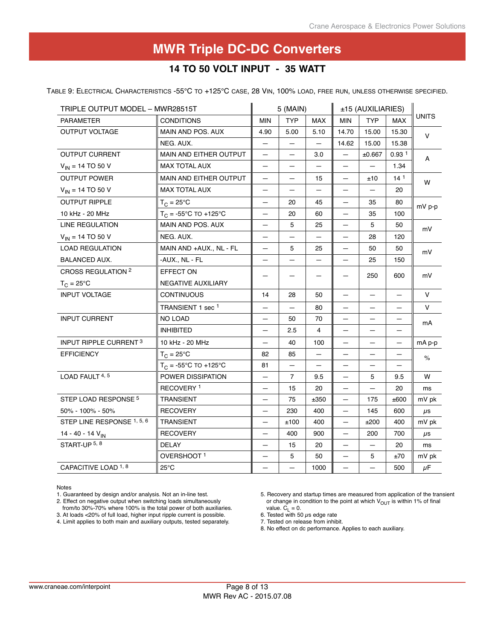### **14 to 50 volt i nput - 35 watt**

Table 9: Electrical Characteristics -55°C to +125°C case, 28 Vin, 100% load, free run, unless otherwise specified.

| TRIPLE OUTPUT MODEL - MWR28515T   |                                | 5 (MAIN)                 |                          |                | ±15 (AUXILIARIES)        |            |                   |               |
|-----------------------------------|--------------------------------|--------------------------|--------------------------|----------------|--------------------------|------------|-------------------|---------------|
| <b>PARAMETER</b>                  | <b>CONDITIONS</b>              | <b>MIN</b>               | <b>TYP</b>               | <b>MAX</b>     | <b>MIN</b>               | <b>TYP</b> | <b>MAX</b>        | <b>UNITS</b>  |
| <b>OUTPUT VOLTAGE</b>             | MAIN AND POS. AUX              | 4.90                     | 5.00                     | 5.10           | 14.70                    | 15.00      | 15.30             | V             |
|                                   | NEG. AUX.                      | -                        | -                        |                | 14.62                    | 15.00      | 15.38             |               |
| <b>OUTPUT CURRENT</b>             | MAIN AND EITHER OUTPUT         | $\qquad \qquad \qquad$   | —                        | 3.0            | —                        | ±0.667     | 0.93 <sup>1</sup> | A             |
| $V_{IN}$ = 14 TO 50 V             | <b>MAX TOTAL AUX</b>           |                          |                          |                | ▃                        |            | 1.34              |               |
| <b>OUTPUT POWER</b>               | MAIN AND EITHER OUTPUT         | $\overline{\phantom{0}}$ | —                        | 15             | —                        | ±10        | 14 <sup>1</sup>   | W             |
| $V_{IN}$ = 14 TO 50 V             | <b>MAX TOTAL AUX</b>           | $\overline{\phantom{0}}$ |                          |                | —                        |            | 20                |               |
| <b>OUTPUT RIPPLE</b>              | $T_{C}$ = 25°C                 | $\equiv$                 | 20                       | 45             | —                        | 35         | 80                | $mV$ p-p      |
| 10 kHz - 20 MHz                   | $T_{C}$ = -55°C TO +125°C      | —                        | 20                       | 60             | —                        | 35         | 100               |               |
| LINE REGULATION                   | MAIN AND POS. AUX              |                          | 5                        | 25             | —                        | 5          | 50                | mV            |
| $V_{IN}$ = 14 TO 50 V             | NEG. AUX.                      |                          |                          |                |                          | 28         | 120               |               |
| <b>LOAD REGULATION</b>            | MAIN AND +AUX., NL - FL        | —                        | 5                        | 25             | $\overline{\phantom{0}}$ | 50         | 50                | mV            |
| <b>BALANCED AUX.</b>              | -AUX., NL - FL                 |                          |                          |                |                          | 25         | 150               |               |
| CROSS REGULATION <sup>2</sup>     | EFFECT ON                      |                          |                          |                |                          | 250        | 600               | mV            |
| $T_C = 25^{\circ}C$               | NEGATIVE AUXILIARY             |                          |                          |                |                          |            |                   |               |
| <b>INPUT VOLTAGE</b>              | <b>CONTINUOUS</b>              | 14                       | 28                       | 50             |                          |            |                   | V             |
|                                   | TRANSIENT 1 sec <sup>1</sup>   | —                        | $\overline{\phantom{m}}$ | 80             | —                        | —          | —                 | V             |
| <b>INPUT CURRENT</b>              | NO LOAD                        |                          | 50                       | 70             |                          |            |                   | mA            |
|                                   | <b>INHIBITED</b>               | —                        | 2.5                      | $\overline{4}$ |                          |            |                   |               |
| INPUT RIPPLE CURRENT <sup>3</sup> | 10 kHz - 20 MHz                | —                        | 40                       | 100            | —                        | —          | —                 | mA p-p        |
| <b>EFFICIENCY</b>                 | $T_C = 25^{\circ}C$            | 82                       | 85                       |                |                          |            |                   | $\frac{1}{2}$ |
|                                   | $T_C = -55^{\circ}C$ TO +125°C | 81                       |                          |                |                          |            |                   |               |
| LOAD FAULT 4, 5                   | POWER DISSIPATION              | —                        | $\overline{7}$           | 9.5            | $\overline{\phantom{0}}$ | 5          | 9.5               | W             |
|                                   | RECOVERY <sup>1</sup>          | $\overline{\phantom{0}}$ | 15                       | 20             |                          |            | 20                | ms            |
| STEP LOAD RESPONSE 5              | <b>TRANSIENT</b>               | —                        | 75                       | ±350           |                          | 175        | ±600              | mV pk         |
| 50% - 100% - 50%                  | <b>RECOVERY</b>                | $\qquad \qquad -$        | 230                      | 400            | -                        | 145        | 600               | $\mu$ s       |
| STEP LINE RESPONSE 1, 5, 6        | <b>TRANSIENT</b>               | —                        | ±100                     | 400            | —                        | ±200       | 400               | mV pk         |
| 14 - 40 - 14 V <sub>IN</sub>      | <b>RECOVERY</b>                |                          | 400                      | 900            |                          | 200        | 700               | $\mu$ s       |
| START-UP 5, 8                     | DELAY                          | —                        | 15                       | 20             | -                        | —          | 20                | ms            |
|                                   | OVERSHOOT <sup>1</sup>         | —                        | 5                        | 50             | $\overline{\phantom{0}}$ | 5          | ±70               | mV pk         |
| CAPACITIVE LOAD <sup>1,8</sup>    | $25^{\circ}$ C                 |                          |                          | 1000           |                          |            | 500               | $\mu$ F       |

Notes

1. Guaranteed by design and/or analysis. Not an in-line test.

2. Effect on negative output when switching loads simultaneously

4. Limit applies to both main and auxiliary outputs, tested separately.

6. Tested with 50  $\mu$ s edge rate

7. Tested on release from inhibit.

from/to 30%-70% where 100% is the total power of both auxiliaries. 3. At loads <20% of full load, higher input ripple current is possible.

<sup>5.</sup> Recovery and startup times are measured from application of the transient or change in condition to the point at which  $V_{OUT}$  is within 1% of final value.  $\overline{C_1} = 0$ .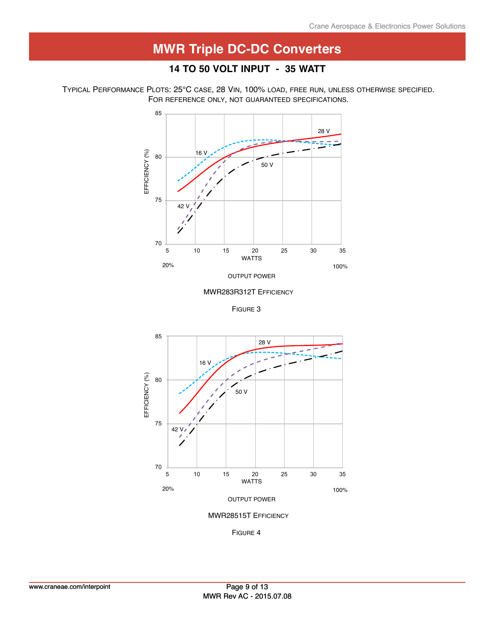### **14 to 50 volt i nput - 35 watt**

Typical Performance Plots: 25°C case, 28 Vin, 100% load, free run, unless otherwise specified. FOR REFERENCE ONLY, NOT GUARANTEED SPECIFICATIONS.





Figure 3



Figure 4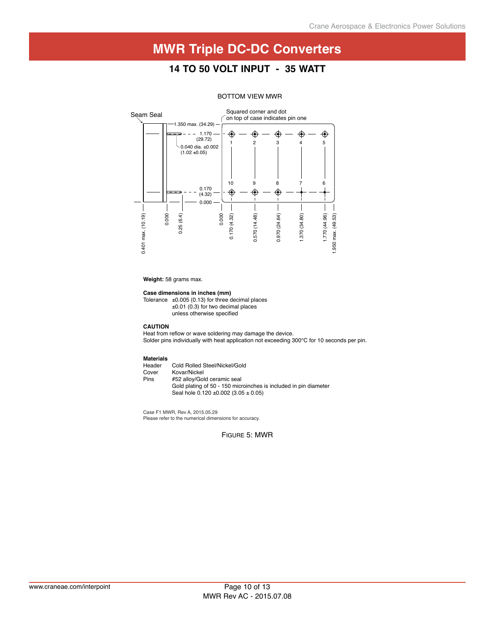### **14 to 50 volt i nput - 35 watt**



#### BOTTOM VIEW MWR

**Weight:** 58 grams max.

#### **Case dimensions in inches (mm)**

Tolerance  $\pm 0.005$  (0.13) for three decimal places ±0.01 (0.3) for two decimal places unless otherwise specified

#### **CAUTION**

Heat from reflow or wave soldering may damage the device. Solder pins individually with heat application not exceeding 300°C for 10 seconds per pin.

## **Materials**

Header Cold Rolled Steel/Nickel/Gold<br>Cover Kovar/Nickel Cover Kovar/Nickel<br>Pins #52 alloy/Gol #52 alloy/Gold ceramic seal Gold plating of 50 - 150 microinches is included in pin diameter Seal hole 0.120 ±0.002 (3.05 ± 0.05)

Case F1 MWR, Rev A, 2015.05.29 Please refer to the numerical dimensions for accuracy.

Figure 5: MWR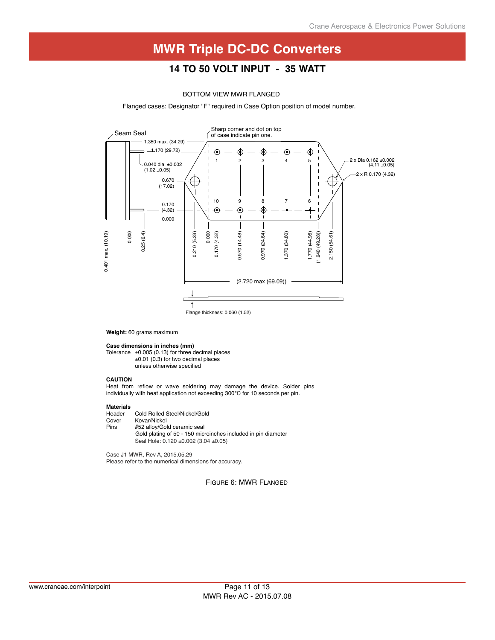### **14 to 50 volt i nput - 35 watt**

#### BOTTOM VIEW MWR FLANGED

Flanged cases: Designator "F" required in Case Option position of model number.



**Weight:** 60 grams maximum

**Case dimensions in inches (mm)**

Tolerance  $\pm 0.005$  (0.13) for three decimal places ±0.01 (0.3) for two decimal places unless otherwise specified

#### **CAUTION**

Heat from reflow or wave soldering may damage the device. Solder pins individually with heat application not exceeding 300°C for 10 seconds per pin.

**Materials** Header Cold Rolled Steel/Nickel/Gold<br>Cover Kovar/Nickel Cover Kovar/Nickel<br>Pins #52 alloy/Gol #52 alloy/Gold ceramic seal Gold plating of 50 - 150 microinches included in pin diameter Seal Hole: 0.120 ±0.002 (3.04 ±0.05)

Case J1 MWR, Rev A, 2015.05.29 Please refer to the numerical dimensions for accuracy.

Figure 6: MWR Flanged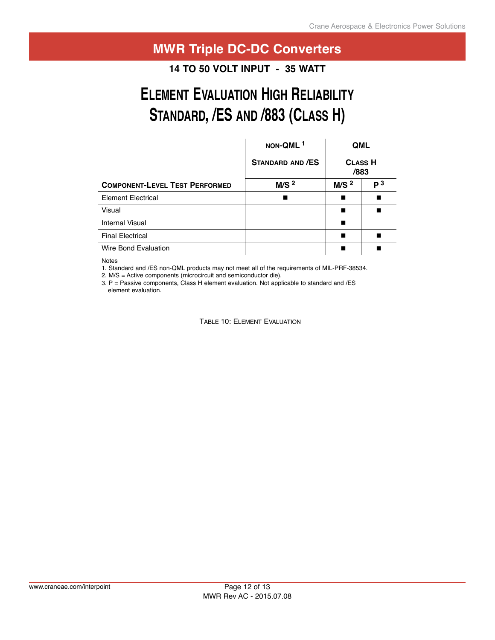## **Quality assurance and Certification appliCatiOn nOte MWR Triple DC-DC Converters**

**14 TO 50 VOLT INPUT - 35 WATT** 

# **ELEMENT EVALUATION HIGH RELIABILITY** STANDARD, /ES AND /883 (CLASS H)

|                                       | NON-QML <sup>1</sup>    | <b>QML</b>       |                |  |  |
|---------------------------------------|-------------------------|------------------|----------------|--|--|
|                                       | <b>STANDARD AND /ES</b> | /883             | <b>CLASS H</b> |  |  |
| <b>COMPONENT-LEVEL TEST PERFORMED</b> | M/S <sup>2</sup>        | M/S <sup>2</sup> | P <sup>3</sup> |  |  |
| <b>Element Electrical</b>             |                         |                  |                |  |  |
| Visual                                |                         |                  |                |  |  |
| <b>Internal Visual</b>                |                         |                  |                |  |  |
| <b>Final Electrical</b>               |                         |                  |                |  |  |
| Wire Bond Evaluation                  |                         |                  |                |  |  |

Notes

1. Standard and /ES non-QML products may not meet all of the requirements of MIL-PRF-38534.

2. M/S = Active components (microcircuit and semiconductor die).

3.  $P =$  Passive components, Class H element evaluation. Not applicable to standard and /ES element evaluation.

Table 10: Element Evaluation